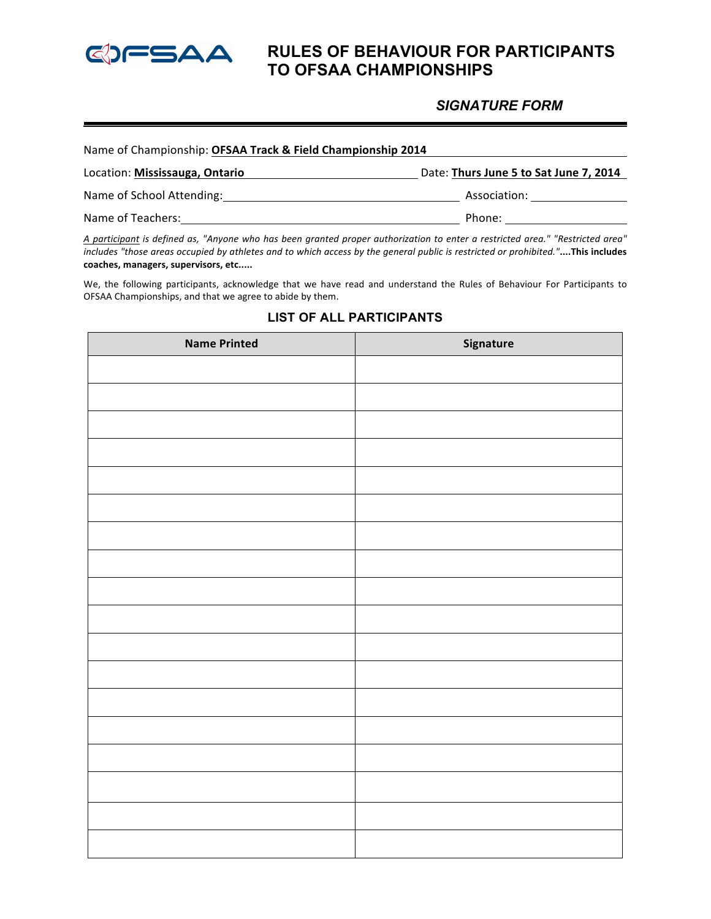

# **RULES OF BEHAVIOUR FOR PARTICIPANTS TO OFSAA CHAMPIONSHIPS**

### *SIGNATURE FORM*

| Name of Championship: OFSAA Track & Field Championship 2014 |                                        |  |
|-------------------------------------------------------------|----------------------------------------|--|
| Location: Mississauga, Ontario                              | Date: Thurs June 5 to Sat June 7, 2014 |  |
| Name of School Attending:                                   | Association:                           |  |
| Name of Teachers:                                           | Phone:                                 |  |

A participant is defined as, "Anyone who has been granted proper authorization to enter a restricted area." "Restricted area" includes "those areas occupied by athletes and to which access by the general public is restricted or prohibited."....This includes coaches, managers, supervisors, etc.....

We, the following participants, acknowledge that we have read and understand the Rules of Behaviour For Participants to OFSAA Championships, and that we agree to abide by them.

| <b>Name Printed</b> | Signature |
|---------------------|-----------|
|                     |           |
|                     |           |
|                     |           |
|                     |           |
|                     |           |
|                     |           |
|                     |           |
|                     |           |
|                     |           |
|                     |           |
|                     |           |
|                     |           |
|                     |           |
|                     |           |
|                     |           |
|                     |           |
|                     |           |
|                     |           |
|                     |           |
|                     |           |
|                     |           |

### **LIST OF ALL PARTICIPANTS**